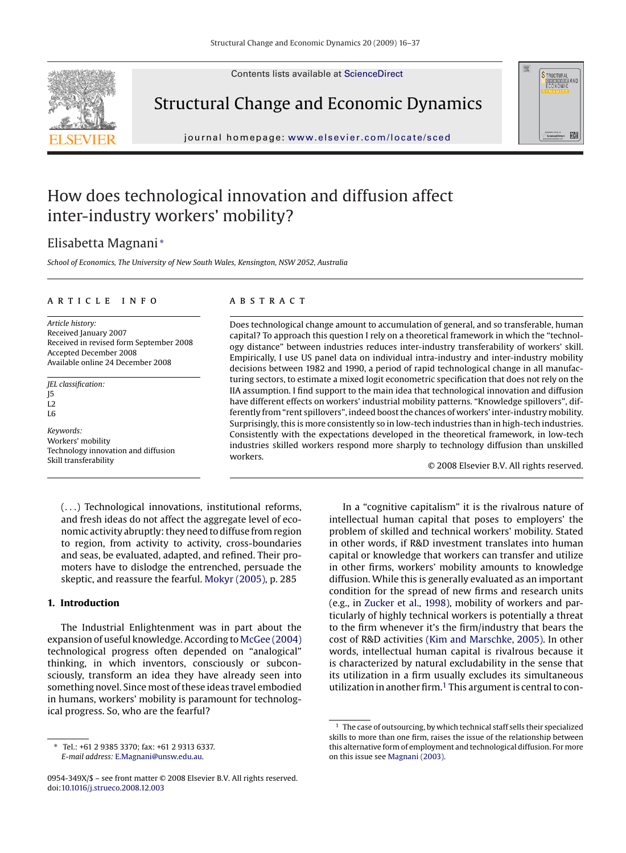Contents lists available at [ScienceDirect](http://www.sciencedirect.com/science/journal/0954349X)



Structural Change and Economic Dynamics

journal homepage: [www.elsevier.com/locate/sced](http://www.elsevier.com/locate/sced)



## How does technological innovation and diffusion affect inter-industry workers' mobility?

### Elisabetta Magnani <sup>∗</sup>

*School of Economics, The University of New South Wales, Kensington, NSW 2052, Australia*

#### article info

*Article history:* Received January 2007 Received in revised form September 2008 Accepted December 2008 Available online 24 December 2008

*JEL classification:* J5 L2 L6

*Keywords:* Workers' mobility Technology innovation and diffusion Skill transferability

#### **ABSTRACT**

Does technological change amount to accumulation of general, and so transferable, human capital? To approach this question I rely on a theoretical framework in which the "technology distance" between industries reduces inter-industry transferability of workers' skill. Empirically, I use US panel data on individual intra-industry and inter-industry mobility decisions between 1982 and 1990, a period of rapid technological change in all manufacturing sectors, to estimate a mixed logit econometric specification that does not rely on the IIA assumption. I find support to the main idea that technological innovation and diffusion have different effects on workers' industrial mobility patterns. "Knowledge spillovers", differently from "rent spillovers", indeed boost the chances of workers' inter-industry mobility. Surprisingly, this is more consistently so in low-tech industries than in high-tech industries. Consistently with the expectations developed in the theoretical framework, in low-tech industries skilled workers respond more sharply to technology diffusion than unskilled workers.

© 2008 Elsevier B.V. All rights reserved.

(...) Technological innovations, institutional reforms, and fresh ideas do not affect the aggregate level of economic activity abruptly: they need to diffuse from region to region, from activity to activity, cross-boundaries and seas, be evaluated, adapted, and refined. Their promoters have to dislodge the entrenched, persuade the skeptic, and reassure the fearful. [Mokyr \(2005\), p](#page--1-0). 285

#### **1. Introduction**

The Industrial Enlightenment was in part about the expansion of useful knowledge. According to [McGee \(2004\)](#page--1-0) technological progress often depended on "analogical" thinking, in which inventors, consciously or subconsciously, transform an idea they have already seen into something novel. Since most of these ideas travel embodied in humans, workers' mobility is paramount for technological progress. So, who are the fearful?

In a "cognitive capitalism" it is the rivalrous nature of intellectual human capital that poses to employers' the problem of skilled and technical workers' mobility. Stated in other words, if R&D investment translates into human capital or knowledge that workers can transfer and utilize in other firms, workers' mobility amounts to knowledge diffusion. While this is generally evaluated as an important condition for the spread of new firms and research units (e.g., in [Zucker et al., 1998\),](#page--1-0) mobility of workers and particularly of highly technical workers is potentially a threat to the firm whenever it's the firm/industry that bears the cost of R&D activities [\(Kim and Marschke, 2005\). I](#page--1-0)n other words, intellectual human capital is rivalrous because it is characterized by natural excludability in the sense that its utilization in a firm usually excludes its simultaneous utilization in another firm.<sup>1</sup> This argument is central to con-

<sup>∗</sup> Tel.: +61 2 9385 3370; fax: +61 2 9313 6337. *E-mail address:* [E.Magnani@unsw.edu.au.](mailto:E.Magnani@unsw.edu.au)

<sup>0954-349</sup>X/\$ – see front matter © 2008 Elsevier B.V. All rights reserved. doi[:10.1016/j.strueco.2008.12.003](dx.doi.org/10.1016/j.strueco.2008.12.003)

<sup>&</sup>lt;sup>1</sup> The case of outsourcing, by which technical staff sells their specialized skills to more than one firm, raises the issue of the relationship between this alternative form of employment and technological diffusion. For more on this issue see [Magnani \(2003\).](#page--1-0)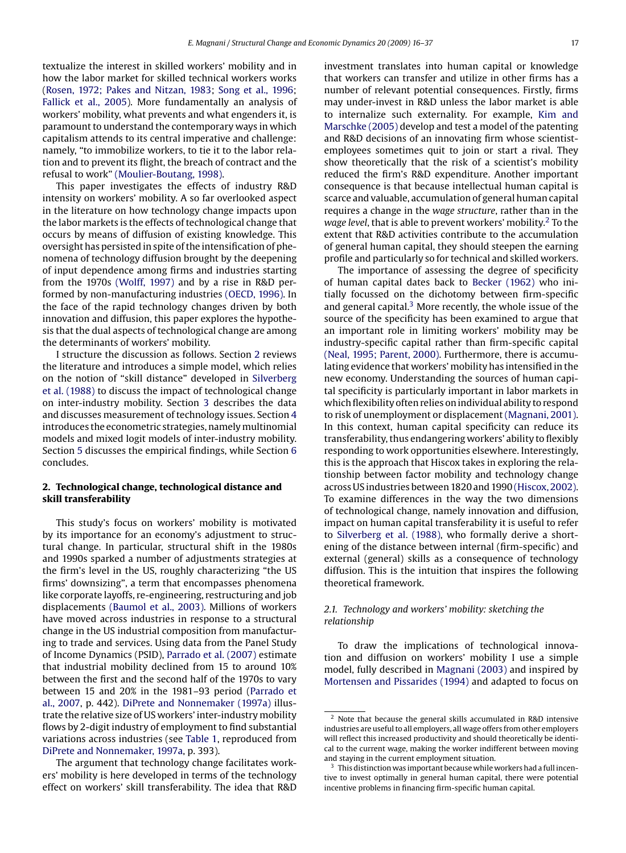textualize the interest in skilled workers' mobility and in how the labor market for skilled technical workers works [\(Rosen, 1972; Pakes and Nitzan, 1983;](#page--1-0) [Song et al., 1996;](#page--1-0) [Fallick et al., 2005\).](#page--1-0) More fundamentally an analysis of workers' mobility, what prevents and what engenders it, is paramount to understand the contemporary ways in which capitalism attends to its central imperative and challenge: namely, "to immobilize workers, to tie it to the labor relation and to prevent its flight, the breach of contract and the refusal to work" [\(Moulier-Boutang, 1998\).](#page--1-0)

This paper investigates the effects of industry R&D intensity on workers' mobility. A so far overlooked aspect in the literature on how technology change impacts upon the labor markets is the effects of technological change that occurs by means of diffusion of existing knowledge. This oversight has persisted in spite of the intensification of phenomena of technology diffusion brought by the deepening of input dependence among firms and industries starting from the 1970s [\(Wolff, 1997\)](#page--1-0) and by a rise in R&D performed by non-manufacturing industries [\(OECD, 1996\). I](#page--1-0)n the face of the rapid technology changes driven by both innovation and diffusion, this paper explores the hypothesis that the dual aspects of technological change are among the determinants of workers' mobility.

I structure the discussion as follows. Section 2 reviews the literature and introduces a simple model, which relies on the notion of "skill distance" developed in [Silverberg](#page--1-0) [et al. \(1988\)](#page--1-0) to discuss the impact of technological change on inter-industry mobility. Section [3](#page--1-0) describes the data and discusses measurement of technology issues. Section [4](#page--1-0) introduces the econometric strategies, namely multinomial models and mixed logit models of inter-industry mobility. Section [5](#page--1-0) discusses the empirical findings, while Section [6](#page--1-0) concludes.

#### **2. Technological change, technological distance and skill transferability**

This study's focus on workers' mobility is motivated by its importance for an economy's adjustment to structural change. In particular, structural shift in the 1980s and 1990s sparked a number of adjustments strategies at the firm's level in the US, roughly characterizing "the US firms' downsizing", a term that encompasses phenomena like corporate layoffs, re-engineering, restructuring and job displacements [\(Baumol et al., 2003\).](#page--1-0) Millions of workers have moved across industries in response to a structural change in the US industrial composition from manufacturing to trade and services. Using data from the Panel Study of Income Dynamics (PSID), [Parrado et al. \(2007\)](#page--1-0) estimate that industrial mobility declined from 15 to around 10% between the first and the second half of the 1970s to vary between 15 and 20% in the 1981–93 period ([Parrado et](#page--1-0) [al., 2007, p](#page--1-0). 442). [DiPrete and Nonnemaker \(1997a\)](#page--1-0) illustrate the relative size of US workers' inter-industry mobility flows by 2-digit industry of employment to find substantial variations across industries (see [Table 1, r](#page--1-0)eproduced from [DiPrete and Nonnemaker, 1997a, p](#page--1-0). 393).

The argument that technology change facilitates workers' mobility is here developed in terms of the technology effect on workers' skill transferability. The idea that R&D investment translates into human capital or knowledge that workers can transfer and utilize in other firms has a number of relevant potential consequences. Firstly, firms may under-invest in R&D unless the labor market is able to internalize such externality. For example, [Kim and](#page--1-0) [Marschke \(2005\)](#page--1-0) develop and test a model of the patenting and R&D decisions of an innovating firm whose scientistemployees sometimes quit to join or start a rival. They show theoretically that the risk of a scientist's mobility reduced the firm's R&D expenditure. Another important consequence is that because intellectual human capital is scarce and valuable, accumulation of general human capital requires a change in the *wage structure*, rather than in the *wage level*, that is able to prevent workers' mobility.2 To the extent that R&D activities contribute to the accumulation of general human capital, they should steepen the earning profile and particularly so for technical and skilled workers.

The importance of assessing the degree of specificity of human capital dates back to [Becker \(1962\)](#page--1-0) who initially focussed on the dichotomy between firm-specific and general capital. $3$  More recently, the whole issue of the source of the specificity has been examined to argue that an important role in limiting workers' mobility may be industry-specific capital rather than firm-specific capital [\(Neal, 1995; Parent, 2000\). F](#page--1-0)urthermore, there is accumulating evidence that workers' mobility has intensified in the new economy. Understanding the sources of human capital specificity is particularly important in labor markets in which flexibility often relies on individual ability to respond to risk of unemployment or displacement [\(Magnani, 2001\).](#page--1-0) In this context, human capital specificity can reduce its transferability, thus endangering workers' ability to flexibly responding to work opportunities elsewhere. Interestingly, this is the approach that Hiscox takes in exploring the relationship between factor mobility and technology change across US industries between 1820 and 1990 [\(Hiscox, 2002\).](#page--1-0) To examine differences in the way the two dimensions of technological change, namely innovation and diffusion, impact on human capital transferability it is useful to refer to [Silverberg et al. \(1988\),](#page--1-0) who formally derive a shortening of the distance between internal (firm-specific) and external (general) skills as a consequence of technology diffusion. This is the intuition that inspires the following theoretical framework.

#### *2.1. Technology and workers' mobility: sketching the relationship*

To draw the implications of technological innovation and diffusion on workers' mobility I use a simple model, fully described in [Magnani \(2003\)](#page--1-0) and inspired by [Mortensen and Pissarides \(1994\)](#page--1-0) and adapted to focus on

<sup>2</sup> Note that because the general skills accumulated in R&D intensive industries are useful to all employers, all wage offers from other employers will reflect this increased productivity and should theoretically be identical to the current wage, making the worker indifferent between moving and staying in the current employment situation.

 $3$  This distinction was important because while workers had a full incentive to invest optimally in general human capital, there were potential incentive problems in financing firm-specific human capital.